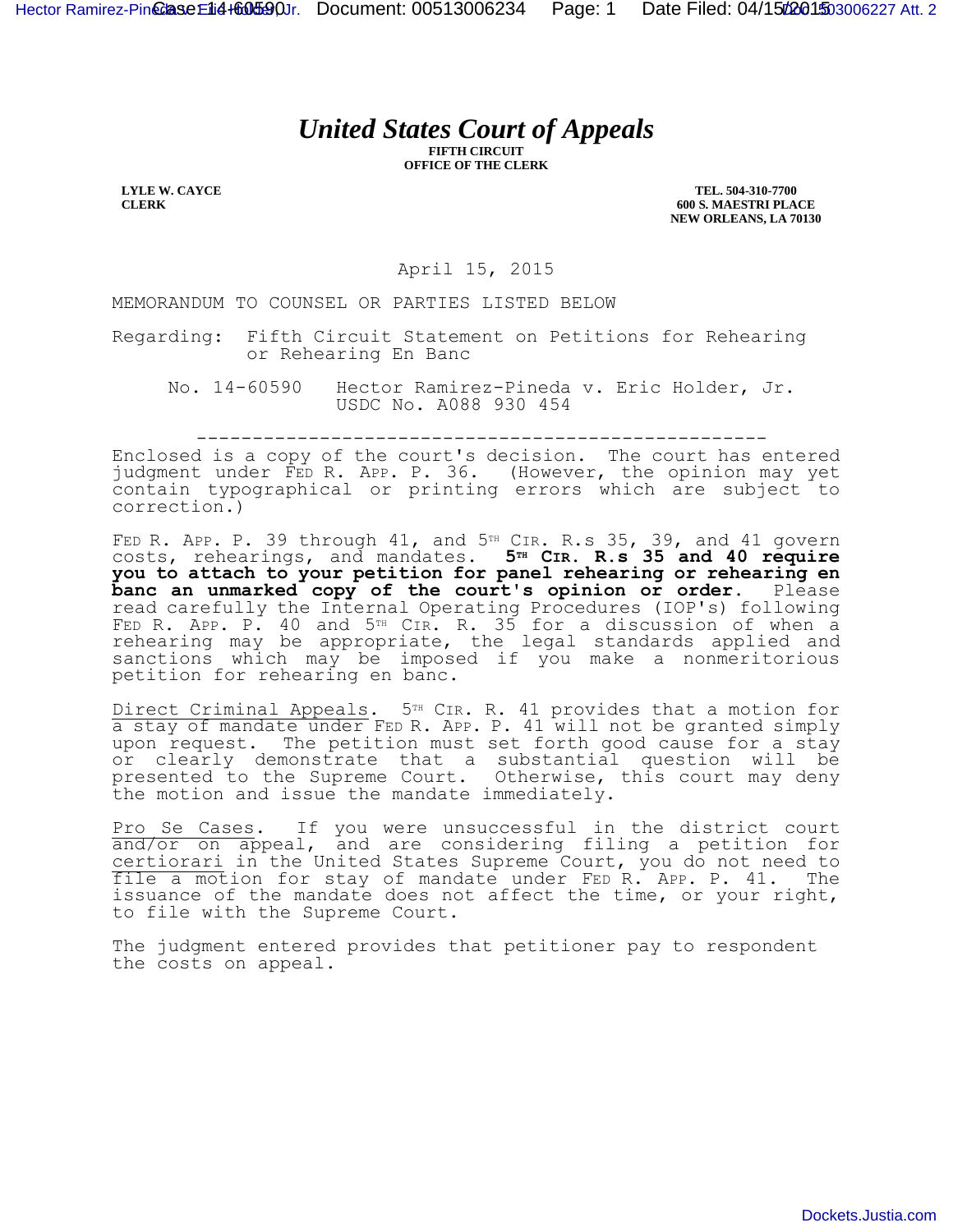## *United States Court of Appeals*

**FIFTH CIRCUIT OFFICE OF THE CLERK**

**LYLE W. CAYCE CLERK**

**TEL. 504-310-7700 600 S. MAESTRI PLACE NEW ORLEANS, LA 70130**

April 15, 2015

MEMORANDUM TO COUNSEL OR PARTIES LISTED BELOW

Regarding: Fifth Circuit Statement on Petitions for Rehearing or Rehearing En Banc

No. 14-60590 Hector Ramirez-Pineda v. Eric Holder, Jr. USDC No. A088 930 454

---------------------------------------------------

Enclosed is a copy of the court's decision. The court has entered judgment under FED R. APP. P. 36. (However, the opinion may yet contain typographical or printing errors which are subject to correction.)

FED R. APP. P. 39 through  $41$ , and  $5<sup>TH</sup>$  CIR. R.s 35, 39, and  $41$  govern costs, rehearings, and mandates. **5TH CIR. R.s 35 and 40 require you to attach to your petition for panel rehearing or rehearing en banc an unmarked copy of the court's opinion or order.** Please read carefully the Internal Operating Procedures (IOP's) following FED R. APP. P. 40 and 5<sup>TH</sup> CIR. R. 35 for a discussion of when a rehearing may be appropriate, the legal standards applied and sanctions which may be imposed if you make a nonmeritorious petition for rehearing en banc.

Direct Criminal Appeals. 5<sup>TH</sup> CIR. R. 41 provides that a motion for a stay of mandate under FED R. APP. P. 41 will not be granted simply upon request. The petition must set forth good cause for a stay or clearly demonstrate that a substantial question will be presented to the Supreme Court. Otherwise, this court may deny the motion and issue the mandate immediately.

Pro Se Cases. If you were unsuccessful in the district court and/or on appeal, and are considering filing a petition for certiorari in the United States Supreme Court, you do not need to file a motion for stay of mandate under FED R. APP. P. 41. The issuance of the mandate does not affect the time, or your right, to file with the Supreme Court.

The judgment entered provides that petitioner pay to respondent the costs on appeal.